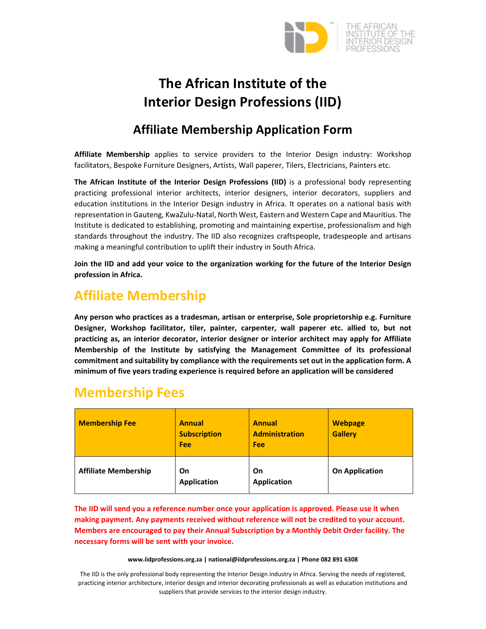

# **The African Institute of the Interior Design Professions (IID)**

### **Affiliate Membership Application Form**

**Affiliate Membership** applies to service providers to the Interior Design industry: Workshop facilitators, Bespoke Furniture Designers, Artists, Wall paperer, Tilers, Electricians, Painters etc.

**The African Institute of the Interior Design Professions (IID)** is a professional body representing practicing professional interior architects, interior designers, interior decorators, suppliers and education institutions in the Interior Design industry in Africa. It operates on a national basis with representation in Gauteng, KwaZulu‐Natal, North West, Eastern and Western Cape and Mauritius. The Institute is dedicated to establishing, promoting and maintaining expertise, professionalism and high standards throughout the industry. The IID also recognizes craftspeople, tradespeople and artisans making a meaningful contribution to uplift their industry in South Africa.

**Join the IID and add your voice to the organization working for the future of the Interior Design profession in Africa.**

## **Affiliate Membership**

**Any person who practices as a tradesman, artisan or enterprise, Sole proprietorship e.g. Furniture Designer, Workshop facilitator, tiler, painter, carpenter, wall paperer etc. allied to, but not practicing as, an interior decorator, interior designer or interior architect may apply for Affiliate Membership of the Institute by satisfying the Management Committee of its professional commitment and suitability by compliance with the requirements set out in the application form. A minimum of five years trading experience is required before an application will be considered**

## **Membership Fees**

| <b>Membership Fee</b>       | <b>Annual</b><br><b>Subscription</b><br>Fee | <b>Annual</b><br><b>Administration</b><br>Fee | <b>Webpage</b><br><b>Gallery</b> |
|-----------------------------|---------------------------------------------|-----------------------------------------------|----------------------------------|
| <b>Affiliate Membership</b> | On<br><b>Application</b>                    | On<br><b>Application</b>                      | <b>On Application</b>            |

**The IID will send you a reference number once your application is approved. Please use it when making payment. Any payments received without reference will not be credited to your account. Members are encouraged to pay their Annual Subscription by a Monthly Debit Order facility. The necessary forms will be sent with your invoice.**

#### **www.iidprofessions.org.za | national@iidprofessions.org.za | Phone 082 891 6308**

The IID is the only professional body representing the Interior Design industry in Africa. Serving the needs of registered, practicing interior architecture, interior design and interior decorating professionals as well as education institutions and suppliers that provide services to the interior design industry.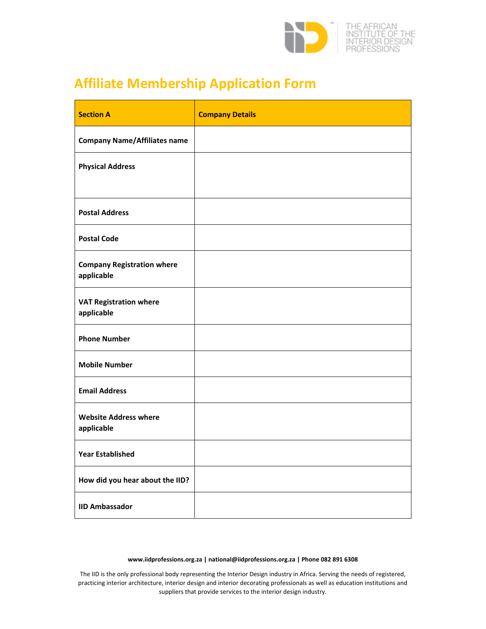

# **Affiliate Membership Application Form**

| <b>Section A</b>                                | <b>Company Details</b> |
|-------------------------------------------------|------------------------|
| <b>Company Name/Affiliates name</b>             |                        |
| <b>Physical Address</b>                         |                        |
|                                                 |                        |
| <b>Postal Address</b>                           |                        |
| <b>Postal Code</b>                              |                        |
| <b>Company Registration where</b><br>applicable |                        |
| <b>VAT Registration where</b><br>applicable     |                        |
| <b>Phone Number</b>                             |                        |
| <b>Mobile Number</b>                            |                        |
| <b>Email Address</b>                            |                        |
| <b>Website Address where</b><br>applicable      |                        |
| <b>Year Established</b>                         |                        |
| How did you hear about the IID?                 |                        |
| <b>IID Ambassador</b>                           |                        |

### **www.iidprofessions.org.za | national@iidprofessions.org.za | Phone 082 891 6308**

The IID is the only professional body representing the Interior Design industry in Africa. Serving the needs of registered, practicing interior architecture, interior design and interior decorating professionals as well as education institutions and suppliers that provide services to the interior design industry.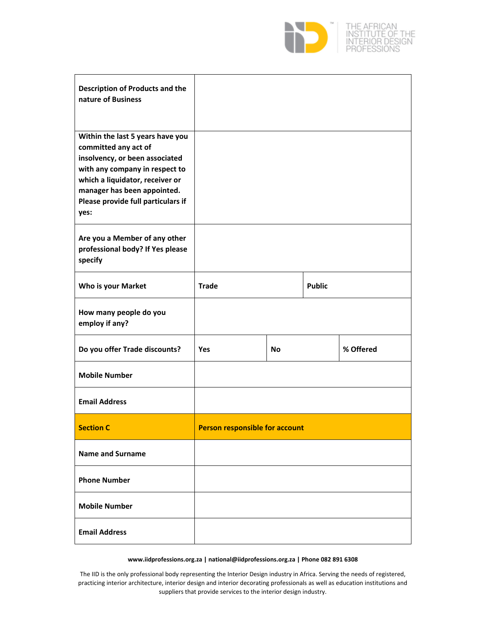

| <b>Description of Products and the</b><br>nature of Business                                                                                                                                                                                 |                                       |  |               |           |
|----------------------------------------------------------------------------------------------------------------------------------------------------------------------------------------------------------------------------------------------|---------------------------------------|--|---------------|-----------|
| Within the last 5 years have you<br>committed any act of<br>insolvency, or been associated<br>with any company in respect to<br>which a liquidator, receiver or<br>manager has been appointed.<br>Please provide full particulars if<br>yes: |                                       |  |               |           |
| Are you a Member of any other<br>professional body? If Yes please<br>specify                                                                                                                                                                 |                                       |  |               |           |
| <b>Who is your Market</b>                                                                                                                                                                                                                    | <b>Trade</b>                          |  | <b>Public</b> |           |
| How many people do you<br>employ if any?                                                                                                                                                                                                     |                                       |  |               |           |
| Do you offer Trade discounts?                                                                                                                                                                                                                | <b>Yes</b><br><b>No</b>               |  |               | % Offered |
| <b>Mobile Number</b>                                                                                                                                                                                                                         |                                       |  |               |           |
| <b>Email Address</b>                                                                                                                                                                                                                         |                                       |  |               |           |
| <b>Section C</b>                                                                                                                                                                                                                             | <b>Person responsible for account</b> |  |               |           |
| <b>Name and Surname</b>                                                                                                                                                                                                                      |                                       |  |               |           |
| <b>Phone Number</b>                                                                                                                                                                                                                          |                                       |  |               |           |
| <b>Mobile Number</b>                                                                                                                                                                                                                         |                                       |  |               |           |
| <b>Email Address</b>                                                                                                                                                                                                                         |                                       |  |               |           |

### **www.iidprofessions.org.za | national@iidprofessions.org.za | Phone 082 891 6308**

The IID is the only professional body representing the Interior Design industry in Africa. Serving the needs of registered, practicing interior architecture, interior design and interior decorating professionals as well as education institutions and suppliers that provide services to the interior design industry.